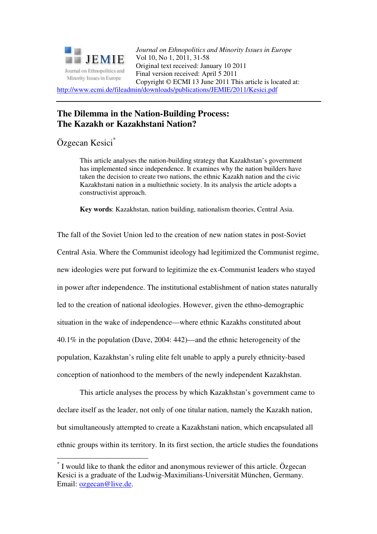

*Journal on Ethnopolitics and Minority Issues in Europe* Vol 10, No 1, 2011, 31-58 Original text received: January 10 2011 Final version received: April 5 2011 Copyright © ECMI 13 June 2011 This article is located at: http://www.ecmi.de/fileadmin/downloads/publications/JEMIE/2011/Kesici.pdf

# **The Dilemma in the Nation-Building Process: The Kazakh or Kazakhstani Nation?**

Özgecan Kesici\*

 $\overline{a}$ 

This article analyses the nation-building strategy that Kazakhstan's government has implemented since independence. It examines why the nation builders have taken the decision to create two nations, the ethnic Kazakh nation and the civic Kazakhstani nation in a multiethnic society. In its analysis the article adopts a constructivist approach.

**Key words**: Kazakhstan, nation building, nationalism theories, Central Asia.

The fall of the Soviet Union led to the creation of new nation states in post-Soviet Central Asia. Where the Communist ideology had legitimized the Communist regime, new ideologies were put forward to legitimize the ex-Communist leaders who stayed in power after independence. The institutional establishment of nation states naturally led to the creation of national ideologies. However, given the ethno-demographic situation in the wake of independence—where ethnic Kazakhs constituted about 40.1% in the population (Dave, 2004: 442)—and the ethnic heterogeneity of the population, Kazakhstan's ruling elite felt unable to apply a purely ethnicity-based conception of nationhood to the members of the newly independent Kazakhstan.

This article analyses the process by which Kazakhstan's government came to declare itself as the leader, not only of one titular nation, namely the Kazakh nation, but simultaneously attempted to create a Kazakhstani nation, which encapsulated all ethnic groups within its territory. In its first section, the article studies the foundations

<sup>\*</sup> I would like to thank the editor and anonymous reviewer of this article. Özgecan Kesici is a graduate of the Ludwig-Maximilians-Universität München, Germany. Email: ozgecan@live.de.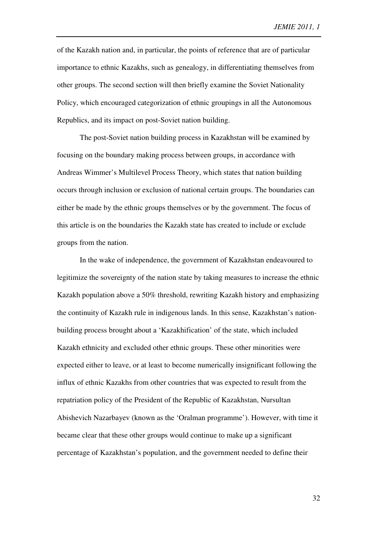of the Kazakh nation and, in particular, the points of reference that are of particular importance to ethnic Kazakhs, such as genealogy, in differentiating themselves from other groups. The second section will then briefly examine the Soviet Nationality Policy, which encouraged categorization of ethnic groupings in all the Autonomous Republics, and its impact on post-Soviet nation building.

The post-Soviet nation building process in Kazakhstan will be examined by focusing on the boundary making process between groups, in accordance with Andreas Wimmer's Multilevel Process Theory, which states that nation building occurs through inclusion or exclusion of national certain groups. The boundaries can either be made by the ethnic groups themselves or by the government. The focus of this article is on the boundaries the Kazakh state has created to include or exclude groups from the nation.

In the wake of independence, the government of Kazakhstan endeavoured to legitimize the sovereignty of the nation state by taking measures to increase the ethnic Kazakh population above a 50% threshold, rewriting Kazakh history and emphasizing the continuity of Kazakh rule in indigenous lands. In this sense, Kazakhstan's nationbuilding process brought about a 'Kazakhification' of the state, which included Kazakh ethnicity and excluded other ethnic groups. These other minorities were expected either to leave, or at least to become numerically insignificant following the influx of ethnic Kazakhs from other countries that was expected to result from the repatriation policy of the President of the Republic of Kazakhstan, Nursultan Abishevich Nazarbayev (known as the 'Oralman programme'). However, with time it became clear that these other groups would continue to make up a significant percentage of Kazakhstan's population, and the government needed to define their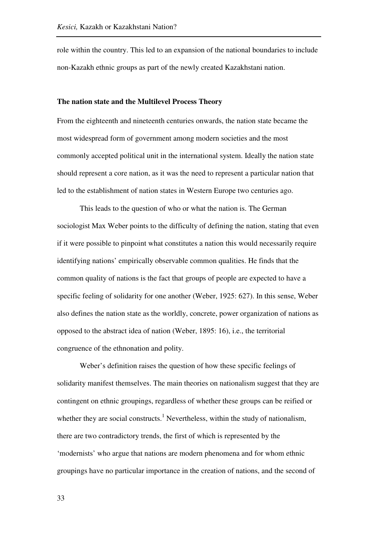role within the country. This led to an expansion of the national boundaries to include non-Kazakh ethnic groups as part of the newly created Kazakhstani nation.

## **The nation state and the Multilevel Process Theory**

From the eighteenth and nineteenth centuries onwards, the nation state became the most widespread form of government among modern societies and the most commonly accepted political unit in the international system. Ideally the nation state should represent a core nation, as it was the need to represent a particular nation that led to the establishment of nation states in Western Europe two centuries ago.

This leads to the question of who or what the nation is. The German sociologist Max Weber points to the difficulty of defining the nation, stating that even if it were possible to pinpoint what constitutes a nation this would necessarily require identifying nations' empirically observable common qualities. He finds that the common quality of nations is the fact that groups of people are expected to have a specific feeling of solidarity for one another (Weber, 1925: 627). In this sense, Weber also defines the nation state as the worldly, concrete, power organization of nations as opposed to the abstract idea of nation (Weber, 1895: 16), i.e., the territorial congruence of the ethnonation and polity.

Weber's definition raises the question of how these specific feelings of solidarity manifest themselves. The main theories on nationalism suggest that they are contingent on ethnic groupings, regardless of whether these groups can be reified or whether they are social constructs.<sup>1</sup> Nevertheless, within the study of nationalism, there are two contradictory trends, the first of which is represented by the 'modernists' who argue that nations are modern phenomena and for whom ethnic groupings have no particular importance in the creation of nations, and the second of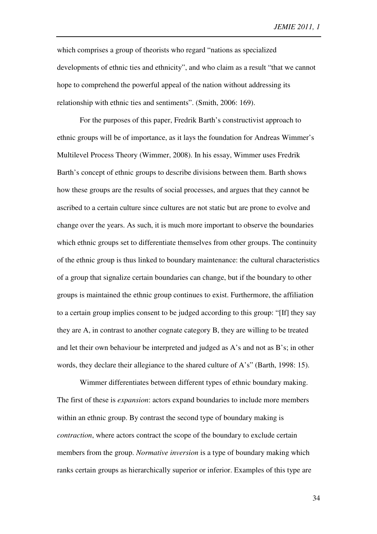which comprises a group of theorists who regard "nations as specialized developments of ethnic ties and ethnicity", and who claim as a result "that we cannot hope to comprehend the powerful appeal of the nation without addressing its relationship with ethnic ties and sentiments". (Smith, 2006: 169).

For the purposes of this paper, Fredrik Barth's constructivist approach to ethnic groups will be of importance, as it lays the foundation for Andreas Wimmer's Multilevel Process Theory (Wimmer, 2008). In his essay, Wimmer uses Fredrik Barth's concept of ethnic groups to describe divisions between them. Barth shows how these groups are the results of social processes, and argues that they cannot be ascribed to a certain culture since cultures are not static but are prone to evolve and change over the years. As such, it is much more important to observe the boundaries which ethnic groups set to differentiate themselves from other groups. The continuity of the ethnic group is thus linked to boundary maintenance: the cultural characteristics of a group that signalize certain boundaries can change, but if the boundary to other groups is maintained the ethnic group continues to exist. Furthermore, the affiliation to a certain group implies consent to be judged according to this group: "[If] they say they are A, in contrast to another cognate category B, they are willing to be treated and let their own behaviour be interpreted and judged as A's and not as B's; in other words, they declare their allegiance to the shared culture of A's" (Barth, 1998: 15).

Wimmer differentiates between different types of ethnic boundary making. The first of these is *expansion*: actors expand boundaries to include more members within an ethnic group. By contrast the second type of boundary making is *contraction*, where actors contract the scope of the boundary to exclude certain members from the group. *Normative inversion* is a type of boundary making which ranks certain groups as hierarchically superior or inferior. Examples of this type are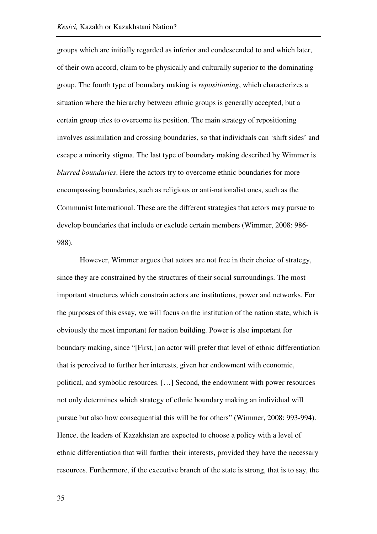groups which are initially regarded as inferior and condescended to and which later, of their own accord, claim to be physically and culturally superior to the dominating group. The fourth type of boundary making is *repositioning*, which characterizes a situation where the hierarchy between ethnic groups is generally accepted, but a certain group tries to overcome its position. The main strategy of repositioning involves assimilation and crossing boundaries, so that individuals can 'shift sides' and escape a minority stigma. The last type of boundary making described by Wimmer is *blurred boundaries*. Here the actors try to overcome ethnic boundaries for more encompassing boundaries, such as religious or anti-nationalist ones, such as the Communist International. These are the different strategies that actors may pursue to develop boundaries that include or exclude certain members (Wimmer, 2008: 986- 988).

However, Wimmer argues that actors are not free in their choice of strategy, since they are constrained by the structures of their social surroundings. The most important structures which constrain actors are institutions, power and networks. For the purposes of this essay, we will focus on the institution of the nation state, which is obviously the most important for nation building. Power is also important for boundary making, since "[First,] an actor will prefer that level of ethnic differentiation that is perceived to further her interests, given her endowment with economic, political, and symbolic resources. […] Second, the endowment with power resources not only determines which strategy of ethnic boundary making an individual will pursue but also how consequential this will be for others" (Wimmer, 2008: 993-994). Hence, the leaders of Kazakhstan are expected to choose a policy with a level of ethnic differentiation that will further their interests, provided they have the necessary resources. Furthermore, if the executive branch of the state is strong, that is to say, the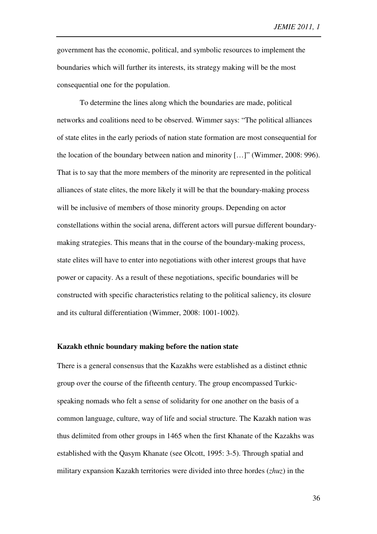government has the economic, political, and symbolic resources to implement the boundaries which will further its interests, its strategy making will be the most consequential one for the population.

To determine the lines along which the boundaries are made, political networks and coalitions need to be observed. Wimmer says: "The political alliances of state elites in the early periods of nation state formation are most consequential for the location of the boundary between nation and minority […]" (Wimmer, 2008: 996). That is to say that the more members of the minority are represented in the political alliances of state elites, the more likely it will be that the boundary-making process will be inclusive of members of those minority groups. Depending on actor constellations within the social arena, different actors will pursue different boundarymaking strategies. This means that in the course of the boundary-making process, state elites will have to enter into negotiations with other interest groups that have power or capacity. As a result of these negotiations, specific boundaries will be constructed with specific characteristics relating to the political saliency, its closure and its cultural differentiation (Wimmer, 2008: 1001-1002).

#### **Kazakh ethnic boundary making before the nation state**

There is a general consensus that the Kazakhs were established as a distinct ethnic group over the course of the fifteenth century. The group encompassed Turkicspeaking nomads who felt a sense of solidarity for one another on the basis of a common language, culture, way of life and social structure. The Kazakh nation was thus delimited from other groups in 1465 when the first Khanate of the Kazakhs was established with the Qasym Khanate (see Olcott, 1995: 3-5). Through spatial and military expansion Kazakh territories were divided into three hordes (*zhuz*) in the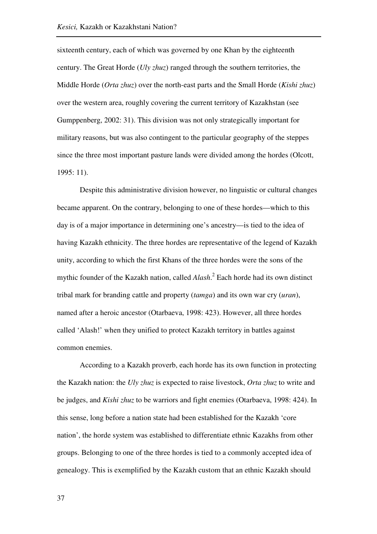sixteenth century, each of which was governed by one Khan by the eighteenth century. The Great Horde (*Uly zhuz*) ranged through the southern territories, the Middle Horde (*Orta zhuz*) over the north-east parts and the Small Horde (*Kishi zhuz*) over the western area, roughly covering the current territory of Kazakhstan (see Gumppenberg, 2002: 31). This division was not only strategically important for military reasons, but was also contingent to the particular geography of the steppes since the three most important pasture lands were divided among the hordes (Olcott, 1995: 11).

Despite this administrative division however, no linguistic or cultural changes became apparent. On the contrary, belonging to one of these hordes—which to this day is of a major importance in determining one's ancestry—is tied to the idea of having Kazakh ethnicity. The three hordes are representative of the legend of Kazakh unity, according to which the first Khans of the three hordes were the sons of the mythic founder of the Kazakh nation, called *Alash*. 2 Each horde had its own distinct tribal mark for branding cattle and property (*tamga*) and its own war cry (*uran*), named after a heroic ancestor (Otarbaeva, 1998: 423). However, all three hordes called 'Alash!' when they unified to protect Kazakh territory in battles against common enemies.

According to a Kazakh proverb, each horde has its own function in protecting the Kazakh nation: the *Uly zhuz* is expected to raise livestock, *Orta zhuz* to write and be judges, and *Kishi zhuz* to be warriors and fight enemies (Otarbaeva, 1998: 424). In this sense, long before a nation state had been established for the Kazakh 'core nation', the horde system was established to differentiate ethnic Kazakhs from other groups. Belonging to one of the three hordes is tied to a commonly accepted idea of genealogy. This is exemplified by the Kazakh custom that an ethnic Kazakh should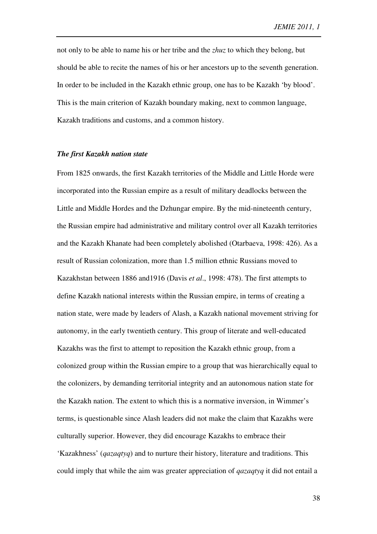not only to be able to name his or her tribe and the *zhuz* to which they belong, but should be able to recite the names of his or her ancestors up to the seventh generation. In order to be included in the Kazakh ethnic group, one has to be Kazakh 'by blood'. This is the main criterion of Kazakh boundary making, next to common language, Kazakh traditions and customs, and a common history.

## *The first Kazakh nation state*

From 1825 onwards, the first Kazakh territories of the Middle and Little Horde were incorporated into the Russian empire as a result of military deadlocks between the Little and Middle Hordes and the Dzhungar empire. By the mid-nineteenth century, the Russian empire had administrative and military control over all Kazakh territories and the Kazakh Khanate had been completely abolished (Otarbaeva, 1998: 426). As a result of Russian colonization, more than 1.5 million ethnic Russians moved to Kazakhstan between 1886 and1916 (Davis *et al*., 1998: 478). The first attempts to define Kazakh national interests within the Russian empire, in terms of creating a nation state, were made by leaders of Alash, a Kazakh national movement striving for autonomy, in the early twentieth century. This group of literate and well-educated Kazakhs was the first to attempt to reposition the Kazakh ethnic group, from a colonized group within the Russian empire to a group that was hierarchically equal to the colonizers, by demanding territorial integrity and an autonomous nation state for the Kazakh nation. The extent to which this is a normative inversion, in Wimmer's terms, is questionable since Alash leaders did not make the claim that Kazakhs were culturally superior. However, they did encourage Kazakhs to embrace their 'Kazakhness' (*qazaqtyq*) and to nurture their history, literature and traditions. This could imply that while the aim was greater appreciation of *qazaqtyq* it did not entail a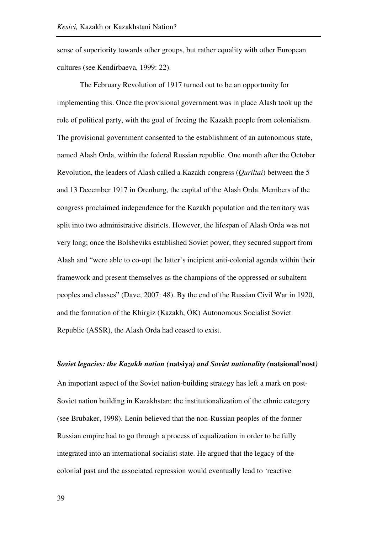sense of superiority towards other groups, but rather equality with other European cultures (see Kendirbaeva, 1999: 22).

The February Revolution of 1917 turned out to be an opportunity for implementing this. Once the provisional government was in place Alash took up the role of political party, with the goal of freeing the Kazakh people from colonialism. The provisional government consented to the establishment of an autonomous state, named Alash Orda, within the federal Russian republic. One month after the October Revolution, the leaders of Alash called a Kazakh congress (*Quriltai*) between the 5 and 13 December 1917 in Orenburg, the capital of the Alash Orda. Members of the congress proclaimed independence for the Kazakh population and the territory was split into two administrative districts. However, the lifespan of Alash Orda was not very long; once the Bolsheviks established Soviet power, they secured support from Alash and "were able to co-opt the latter's incipient anti-colonial agenda within their framework and present themselves as the champions of the oppressed or subaltern peoples and classes" (Dave, 2007: 48). By the end of the Russian Civil War in 1920, and the formation of the Khirgiz (Kazakh, ÖK) Autonomous Socialist Soviet Republic (ASSR), the Alash Orda had ceased to exist.

## *Soviet legacies: the Kazakh nation (***natsiya***) and Soviet nationality (***natsional'nost***)*

An important aspect of the Soviet nation-building strategy has left a mark on post-Soviet nation building in Kazakhstan: the institutionalization of the ethnic category (see Brubaker, 1998). Lenin believed that the non-Russian peoples of the former Russian empire had to go through a process of equalization in order to be fully integrated into an international socialist state. He argued that the legacy of the colonial past and the associated repression would eventually lead to 'reactive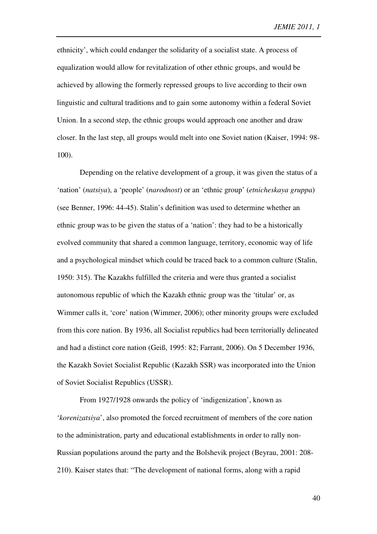ethnicity', which could endanger the solidarity of a socialist state. A process of equalization would allow for revitalization of other ethnic groups, and would be achieved by allowing the formerly repressed groups to live according to their own linguistic and cultural traditions and to gain some autonomy within a federal Soviet Union. In a second step, the ethnic groups would approach one another and draw closer. In the last step, all groups would melt into one Soviet nation (Kaiser, 1994: 98- 100).

Depending on the relative development of a group, it was given the status of a 'nation' (*natsiya*), a 'people' (*narodnost*) or an 'ethnic group' (*etnicheskaya gruppa*) (see Benner, 1996: 44-45). Stalin's definition was used to determine whether an ethnic group was to be given the status of a 'nation': they had to be a historically evolved community that shared a common language, territory, economic way of life and a psychological mindset which could be traced back to a common culture (Stalin, 1950: 315). The Kazakhs fulfilled the criteria and were thus granted a socialist autonomous republic of which the Kazakh ethnic group was the 'titular' or, as Wimmer calls it, 'core' nation (Wimmer, 2006); other minority groups were excluded from this core nation. By 1936, all Socialist republics had been territorially delineated and had a distinct core nation (Geiß, 1995: 82; Farrant, 2006). On 5 December 1936, the Kazakh Soviet Socialist Republic (Kazakh SSR) was incorporated into the Union of Soviet Socialist Republics (USSR).

From 1927/1928 onwards the policy of 'indigenization', known as '*korenizatsiya*', also promoted the forced recruitment of members of the core nation to the administration, party and educational establishments in order to rally non-Russian populations around the party and the Bolshevik project (Beyrau, 2001: 208- 210). Kaiser states that: "The development of national forms, along with a rapid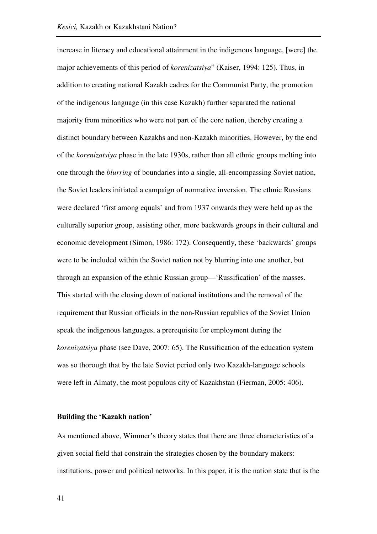increase in literacy and educational attainment in the indigenous language, [were] the major achievements of this period of *korenizatsiya*" (Kaiser, 1994: 125). Thus, in addition to creating national Kazakh cadres for the Communist Party, the promotion of the indigenous language (in this case Kazakh) further separated the national majority from minorities who were not part of the core nation, thereby creating a distinct boundary between Kazakhs and non-Kazakh minorities. However, by the end of the *korenizatsiya* phase in the late 1930s, rather than all ethnic groups melting into one through the *blurring* of boundaries into a single, all-encompassing Soviet nation, the Soviet leaders initiated a campaign of normative inversion. The ethnic Russians were declared 'first among equals' and from 1937 onwards they were held up as the culturally superior group, assisting other, more backwards groups in their cultural and economic development (Simon, 1986: 172). Consequently, these 'backwards' groups were to be included within the Soviet nation not by blurring into one another, but through an expansion of the ethnic Russian group—'Russification' of the masses. This started with the closing down of national institutions and the removal of the requirement that Russian officials in the non-Russian republics of the Soviet Union speak the indigenous languages, a prerequisite for employment during the *korenizatsiya* phase (see Dave, 2007: 65). The Russification of the education system was so thorough that by the late Soviet period only two Kazakh-language schools were left in Almaty, the most populous city of Kazakhstan (Fierman, 2005: 406).

### **Building the 'Kazakh nation'**

As mentioned above, Wimmer's theory states that there are three characteristics of a given social field that constrain the strategies chosen by the boundary makers: institutions, power and political networks. In this paper, it is the nation state that is the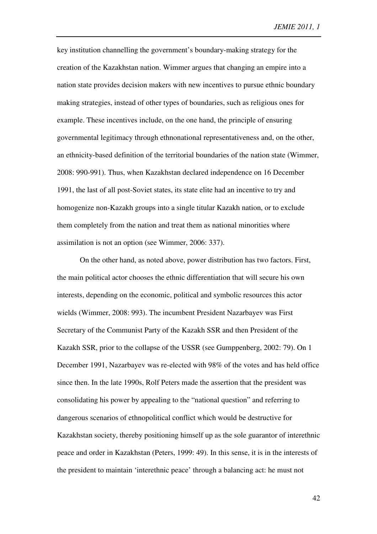key institution channelling the government's boundary-making strategy for the creation of the Kazakhstan nation. Wimmer argues that changing an empire into a nation state provides decision makers with new incentives to pursue ethnic boundary making strategies, instead of other types of boundaries, such as religious ones for example. These incentives include, on the one hand, the principle of ensuring governmental legitimacy through ethnonational representativeness and, on the other, an ethnicity-based definition of the territorial boundaries of the nation state (Wimmer, 2008: 990-991). Thus, when Kazakhstan declared independence on 16 December 1991, the last of all post-Soviet states, its state elite had an incentive to try and homogenize non-Kazakh groups into a single titular Kazakh nation, or to exclude them completely from the nation and treat them as national minorities where assimilation is not an option (see Wimmer, 2006: 337).

On the other hand, as noted above, power distribution has two factors. First, the main political actor chooses the ethnic differentiation that will secure his own interests, depending on the economic, political and symbolic resources this actor wields (Wimmer, 2008: 993). The incumbent President Nazarbayev was First Secretary of the Communist Party of the Kazakh SSR and then President of the Kazakh SSR, prior to the collapse of the USSR (see Gumppenberg, 2002: 79). On 1 December 1991, Nazarbayev was re-elected with 98% of the votes and has held office since then. In the late 1990s, Rolf Peters made the assertion that the president was consolidating his power by appealing to the "national question" and referring to dangerous scenarios of ethnopolitical conflict which would be destructive for Kazakhstan society, thereby positioning himself up as the sole guarantor of interethnic peace and order in Kazakhstan (Peters, 1999: 49). In this sense, it is in the interests of the president to maintain 'interethnic peace' through a balancing act: he must not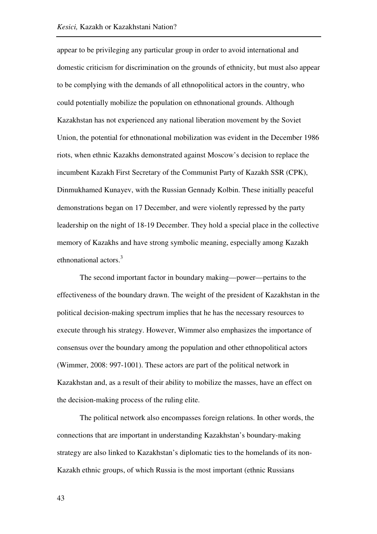appear to be privileging any particular group in order to avoid international and domestic criticism for discrimination on the grounds of ethnicity, but must also appear to be complying with the demands of all ethnopolitical actors in the country, who could potentially mobilize the population on ethnonational grounds. Although Kazakhstan has not experienced any national liberation movement by the Soviet Union, the potential for ethnonational mobilization was evident in the December 1986 riots, when ethnic Kazakhs demonstrated against Moscow's decision to replace the incumbent Kazakh First Secretary of the Communist Party of Kazakh SSR (CPK), Dinmukhamed Kunayev, with the Russian Gennady Kolbin. These initially peaceful demonstrations began on 17 December, and were violently repressed by the party leadership on the night of 18-19 December. They hold a special place in the collective memory of Kazakhs and have strong symbolic meaning, especially among Kazakh ethnonational actors.<sup>3</sup>

The second important factor in boundary making—power—pertains to the effectiveness of the boundary drawn. The weight of the president of Kazakhstan in the political decision-making spectrum implies that he has the necessary resources to execute through his strategy. However, Wimmer also emphasizes the importance of consensus over the boundary among the population and other ethnopolitical actors (Wimmer, 2008: 997-1001). These actors are part of the political network in Kazakhstan and, as a result of their ability to mobilize the masses, have an effect on the decision-making process of the ruling elite.

The political network also encompasses foreign relations. In other words, the connections that are important in understanding Kazakhstan's boundary-making strategy are also linked to Kazakhstan's diplomatic ties to the homelands of its non-Kazakh ethnic groups, of which Russia is the most important (ethnic Russians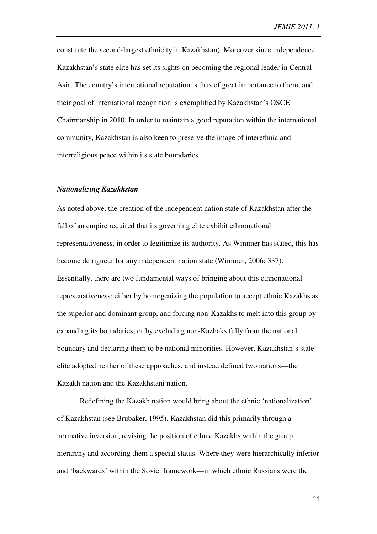constitute the second-largest ethnicity in Kazakhstan). Moreover since independence Kazakhstan's state elite has set its sights on becoming the regional leader in Central Asia. The country's international reputation is thus of great importance to them, and their goal of international recognition is exemplified by Kazakhstan's OSCE Chairmanship in 2010. In order to maintain a good reputation within the international community, Kazakhstan is also keen to preserve the image of interethnic and interreligious peace within its state boundaries.

## *Nationalizing Kazakhstan*

As noted above, the creation of the independent nation state of Kazakhstan after the fall of an empire required that its governing elite exhibit ethnonational representativeness, in order to legitimize its authority. As Wimmer has stated, this has become de rigueur for any independent nation state (Wimmer, 2006: 337). Essentially, there are two fundamental ways of bringing about this ethnonational represenativeness: either by homogenizing the population to accept ethnic Kazakhs as the superior and dominant group, and forcing non-Kazakhs to melt into this group by expanding its boundaries; or by excluding non-Kazhaks fully from the national boundary and declaring them to be national minorities. However, Kazakhstan's state elite adopted neither of these approaches, and instead defined two nations—the Kazakh nation and the Kazakhstani nation.

Redefining the Kazakh nation would bring about the ethnic 'nationalization' of Kazakhstan (see Brubaker, 1995). Kazakhstan did this primarily through a normative inversion, revising the position of ethnic Kazakhs within the group hierarchy and according them a special status. Where they were hierarchically inferior and 'backwards' within the Soviet framework—in which ethnic Russians were the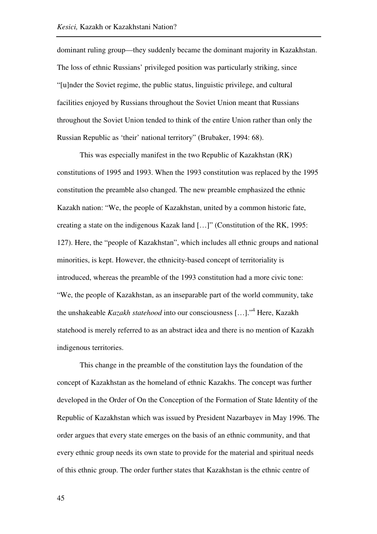dominant ruling group—they suddenly became the dominant majority in Kazakhstan. The loss of ethnic Russians' privileged position was particularly striking, since "[u]nder the Soviet regime, the public status, linguistic privilege, and cultural facilities enjoyed by Russians throughout the Soviet Union meant that Russians throughout the Soviet Union tended to think of the entire Union rather than only the Russian Republic as 'their' national territory" (Brubaker, 1994: 68).

This was especially manifest in the two Republic of Kazakhstan (RK) constitutions of 1995 and 1993. When the 1993 constitution was replaced by the 1995 constitution the preamble also changed. The new preamble emphasized the ethnic Kazakh nation: "We, the people of Kazakhstan, united by a common historic fate, creating a state on the indigenous Kazak land […]" (Constitution of the RK, 1995: 127). Here, the "people of Kazakhstan", which includes all ethnic groups and national minorities, is kept. However, the ethnicity-based concept of territoriality is introduced, whereas the preamble of the 1993 constitution had a more civic tone: "We, the people of Kazakhstan, as an inseparable part of the world community, take the unshakeable *Kazakh statehood* into our consciousness […]."<sup>4</sup> Here, Kazakh statehood is merely referred to as an abstract idea and there is no mention of Kazakh indigenous territories.

This change in the preamble of the constitution lays the foundation of the concept of Kazakhstan as the homeland of ethnic Kazakhs. The concept was further developed in the Order of On the Conception of the Formation of State Identity of the Republic of Kazakhstan which was issued by President Nazarbayev in May 1996. The order argues that every state emerges on the basis of an ethnic community, and that every ethnic group needs its own state to provide for the material and spiritual needs of this ethnic group. The order further states that Kazakhstan is the ethnic centre of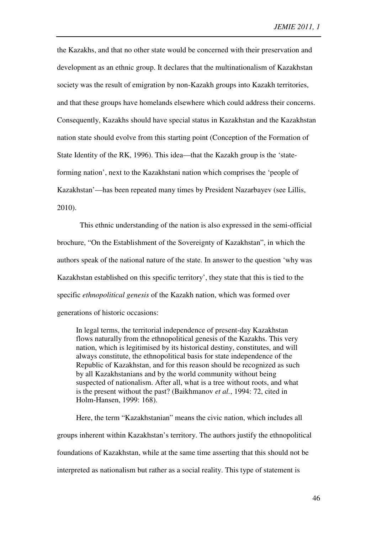the Kazakhs, and that no other state would be concerned with their preservation and development as an ethnic group. It declares that the multinationalism of Kazakhstan society was the result of emigration by non-Kazakh groups into Kazakh territories, and that these groups have homelands elsewhere which could address their concerns. Consequently, Kazakhs should have special status in Kazakhstan and the Kazakhstan nation state should evolve from this starting point (Conception of the Formation of State Identity of the RK, 1996). This idea—that the Kazakh group is the 'stateforming nation', next to the Kazakhstani nation which comprises the 'people of Kazakhstan'—has been repeated many times by President Nazarbayev (see Lillis, 2010).

This ethnic understanding of the nation is also expressed in the semi-official brochure, "On the Establishment of the Sovereignty of Kazakhstan", in which the authors speak of the national nature of the state. In answer to the question 'why was Kazakhstan established on this specific territory', they state that this is tied to the specific *ethnopolitical genesis* of the Kazakh nation, which was formed over generations of historic occasions:

In legal terms, the territorial independence of present-day Kazakhstan flows naturally from the ethnopolitical genesis of the Kazakhs. This very nation, which is legitimised by its historical destiny, constitutes, and will always constitute, the ethnopolitical basis for state independence of the Republic of Kazakhstan, and for this reason should be recognized as such by all Kazakhstanians and by the world community without being suspected of nationalism. After all, what is a tree without roots, and what is the present without the past? (Baikhmanov *et al.*, 1994: 72, cited in Holm-Hansen, 1999: 168).

Here, the term "Kazakhstanian" means the civic nation, which includes all groups inherent within Kazakhstan's territory. The authors justify the ethnopolitical foundations of Kazakhstan, while at the same time asserting that this should not be interpreted as nationalism but rather as a social reality. This type of statement is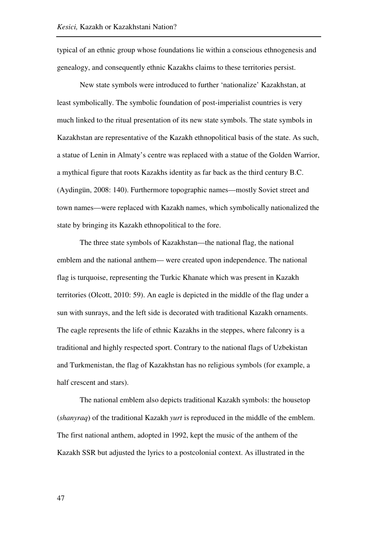typical of an ethnic group whose foundations lie within a conscious ethnogenesis and genealogy, and consequently ethnic Kazakhs claims to these territories persist.

New state symbols were introduced to further 'nationalize' Kazakhstan, at least symbolically. The symbolic foundation of post-imperialist countries is very much linked to the ritual presentation of its new state symbols. The state symbols in Kazakhstan are representative of the Kazakh ethnopolitical basis of the state. As such, a statue of Lenin in Almaty's centre was replaced with a statue of the Golden Warrior, a mythical figure that roots Kazakhs identity as far back as the third century B.C. (Aydingün, 2008: 140). Furthermore topographic names—mostly Soviet street and town names—were replaced with Kazakh names, which symbolically nationalized the state by bringing its Kazakh ethnopolitical to the fore.

The three state symbols of Kazakhstan—the national flag, the national emblem and the national anthem— were created upon independence. The national flag is turquoise, representing the Turkic Khanate which was present in Kazakh territories (Olcott, 2010: 59). An eagle is depicted in the middle of the flag under a sun with sunrays, and the left side is decorated with traditional Kazakh ornaments. The eagle represents the life of ethnic Kazakhs in the steppes, where falconry is a traditional and highly respected sport. Contrary to the national flags of Uzbekistan and Turkmenistan, the flag of Kazakhstan has no religious symbols (for example, a half crescent and stars).

The national emblem also depicts traditional Kazakh symbols: the housetop (*shanyraq*) of the traditional Kazakh *yurt* is reproduced in the middle of the emblem. The first national anthem, adopted in 1992, kept the music of the anthem of the Kazakh SSR but adjusted the lyrics to a postcolonial context. As illustrated in the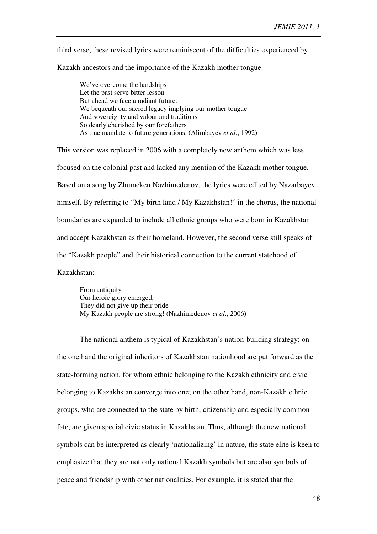third verse, these revised lyrics were reminiscent of the difficulties experienced by

Kazakh ancestors and the importance of the Kazakh mother tongue:

We've overcome the hardships Let the past serve bitter lesson But ahead we face a radiant future. We bequeath our sacred legacy implying our mother tongue And sovereignty and valour and traditions So dearly cherished by our forefathers As true mandate to future generations. (Alimbayev *et al*., 1992)

This version was replaced in 2006 with a completely new anthem which was less focused on the colonial past and lacked any mention of the Kazakh mother tongue. Based on a song by Zhumeken Nazhimedenov, the lyrics were edited by Nazarbayev himself. By referring to "My birth land / My Kazakhstan!" in the chorus, the national boundaries are expanded to include all ethnic groups who were born in Kazakhstan and accept Kazakhstan as their homeland. However, the second verse still speaks of the "Kazakh people" and their historical connection to the current statehood of Kazakhstan:

From antiquity Our heroic glory emerged, They did not give up their pride My Kazakh people are strong! (Nazhimedenov *et al*., 2006)

The national anthem is typical of Kazakhstan's nation-building strategy: on the one hand the original inheritors of Kazakhstan nationhood are put forward as the state-forming nation, for whom ethnic belonging to the Kazakh ethnicity and civic belonging to Kazakhstan converge into one; on the other hand, non-Kazakh ethnic groups, who are connected to the state by birth, citizenship and especially common fate, are given special civic status in Kazakhstan. Thus, although the new national symbols can be interpreted as clearly 'nationalizing' in nature, the state elite is keen to emphasize that they are not only national Kazakh symbols but are also symbols of peace and friendship with other nationalities. For example, it is stated that the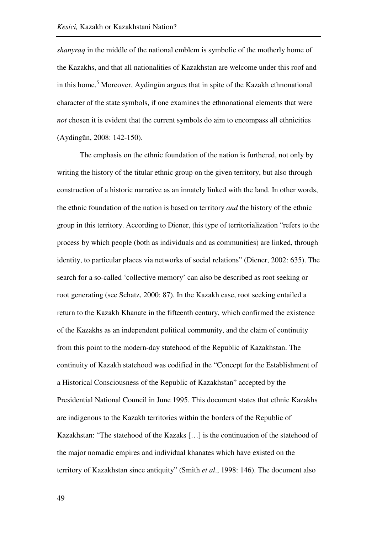*shanyraq* in the middle of the national emblem is symbolic of the motherly home of the Kazakhs, and that all nationalities of Kazakhstan are welcome under this roof and in this home.<sup>5</sup> Moreover, Aydingün argues that in spite of the Kazakh ethnonational character of the state symbols, if one examines the ethnonational elements that were *not* chosen it is evident that the current symbols do aim to encompass all ethnicities (Aydingün, 2008: 142-150).

The emphasis on the ethnic foundation of the nation is furthered, not only by writing the history of the titular ethnic group on the given territory, but also through construction of a historic narrative as an innately linked with the land. In other words, the ethnic foundation of the nation is based on territory *and* the history of the ethnic group in this territory. According to Diener, this type of territorialization "refers to the process by which people (both as individuals and as communities) are linked, through identity, to particular places via networks of social relations" (Diener, 2002: 635). The search for a so-called 'collective memory' can also be described as root seeking or root generating (see Schatz, 2000: 87). In the Kazakh case, root seeking entailed a return to the Kazakh Khanate in the fifteenth century, which confirmed the existence of the Kazakhs as an independent political community, and the claim of continuity from this point to the modern-day statehood of the Republic of Kazakhstan. The continuity of Kazakh statehood was codified in the "Concept for the Establishment of a Historical Consciousness of the Republic of Kazakhstan" accepted by the Presidential National Council in June 1995. This document states that ethnic Kazakhs are indigenous to the Kazakh territories within the borders of the Republic of Kazakhstan: "The statehood of the Kazaks […] is the continuation of the statehood of the major nomadic empires and individual khanates which have existed on the territory of Kazakhstan since antiquity" (Smith *et al*., 1998: 146). The document also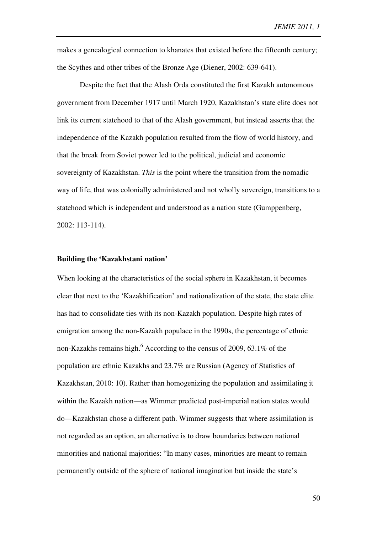makes a genealogical connection to khanates that existed before the fifteenth century; the Scythes and other tribes of the Bronze Age (Diener, 2002: 639-641).

Despite the fact that the Alash Orda constituted the first Kazakh autonomous government from December 1917 until March 1920, Kazakhstan's state elite does not link its current statehood to that of the Alash government, but instead asserts that the independence of the Kazakh population resulted from the flow of world history, and that the break from Soviet power led to the political, judicial and economic sovereignty of Kazakhstan. *This* is the point where the transition from the nomadic way of life, that was colonially administered and not wholly sovereign, transitions to a statehood which is independent and understood as a nation state (Gumppenberg, 2002: 113-114).

#### **Building the 'Kazakhstani nation'**

When looking at the characteristics of the social sphere in Kazakhstan, it becomes clear that next to the 'Kazakhification' and nationalization of the state, the state elite has had to consolidate ties with its non-Kazakh population. Despite high rates of emigration among the non-Kazakh populace in the 1990s, the percentage of ethnic non-Kazakhs remains high. $^6$  According to the census of 2009, 63.1% of the population are ethnic Kazakhs and 23.7% are Russian (Agency of Statistics of Kazakhstan, 2010: 10). Rather than homogenizing the population and assimilating it within the Kazakh nation—as Wimmer predicted post-imperial nation states would do—Kazakhstan chose a different path. Wimmer suggests that where assimilation is not regarded as an option, an alternative is to draw boundaries between national minorities and national majorities: "In many cases, minorities are meant to remain permanently outside of the sphere of national imagination but inside the state's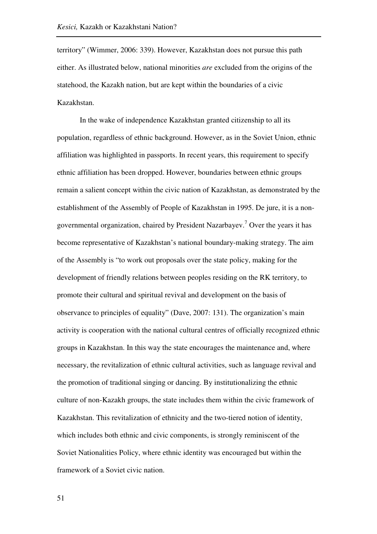territory" (Wimmer, 2006: 339). However, Kazakhstan does not pursue this path either. As illustrated below, national minorities *are* excluded from the origins of the statehood, the Kazakh nation, but are kept within the boundaries of a civic Kazakhstan.

In the wake of independence Kazakhstan granted citizenship to all its population, regardless of ethnic background. However, as in the Soviet Union, ethnic affiliation was highlighted in passports. In recent years, this requirement to specify ethnic affiliation has been dropped. However, boundaries between ethnic groups remain a salient concept within the civic nation of Kazakhstan, as demonstrated by the establishment of the Assembly of People of Kazakhstan in 1995. De jure, it is a nongovernmental organization, chaired by President Nazarbayev.<sup>7</sup> Over the years it has become representative of Kazakhstan's national boundary-making strategy. The aim of the Assembly is "to work out proposals over the state policy, making for the development of friendly relations between peoples residing on the RK territory, to promote their cultural and spiritual revival and development on the basis of observance to principles of equality" (Dave, 2007: 131). The organization's main activity is cooperation with the national cultural centres of officially recognized ethnic groups in Kazakhstan. In this way the state encourages the maintenance and, where necessary, the revitalization of ethnic cultural activities, such as language revival and the promotion of traditional singing or dancing. By institutionalizing the ethnic culture of non-Kazakh groups, the state includes them within the civic framework of Kazakhstan. This revitalization of ethnicity and the two-tiered notion of identity, which includes both ethnic and civic components, is strongly reminiscent of the Soviet Nationalities Policy, where ethnic identity was encouraged but within the framework of a Soviet civic nation.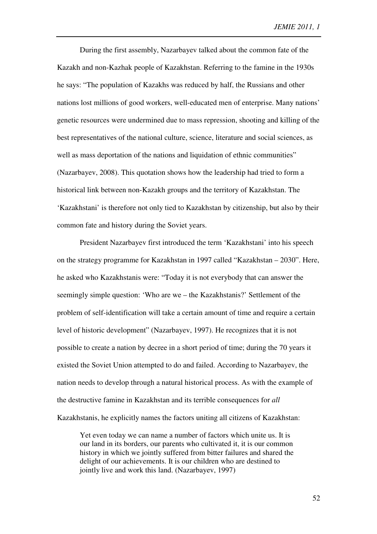During the first assembly, Nazarbayev talked about the common fate of the Kazakh and non-Kazhak people of Kazakhstan. Referring to the famine in the 1930s he says: "The population of Kazakhs was reduced by half, the Russians and other nations lost millions of good workers, well-educated men of enterprise. Many nations' genetic resources were undermined due to mass repression, shooting and killing of the best representatives of the national culture, science, literature and social sciences, as well as mass deportation of the nations and liquidation of ethnic communities" (Nazarbayev, 2008). This quotation shows how the leadership had tried to form a historical link between non-Kazakh groups and the territory of Kazakhstan. The 'Kazakhstani' is therefore not only tied to Kazakhstan by citizenship, but also by their common fate and history during the Soviet years.

President Nazarbayev first introduced the term 'Kazakhstani' into his speech on the strategy programme for Kazakhstan in 1997 called "Kazakhstan – 2030". Here, he asked who Kazakhstanis were: "Today it is not everybody that can answer the seemingly simple question: 'Who are we – the Kazakhstanis?' Settlement of the problem of self-identification will take a certain amount of time and require a certain level of historic development" (Nazarbayev, 1997). He recognizes that it is not possible to create a nation by decree in a short period of time; during the 70 years it existed the Soviet Union attempted to do and failed. According to Nazarbayev, the nation needs to develop through a natural historical process. As with the example of the destructive famine in Kazakhstan and its terrible consequences for *all* Kazakhstanis, he explicitly names the factors uniting all citizens of Kazakhstan:

Yet even today we can name a number of factors which unite us. It is our land in its borders, our parents who cultivated it, it is our common history in which we jointly suffered from bitter failures and shared the delight of our achievements. It is our children who are destined to jointly live and work this land. (Nazarbayev, 1997)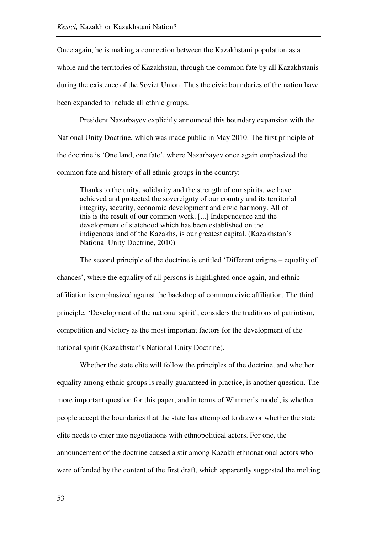Once again, he is making a connection between the Kazakhstani population as a whole and the territories of Kazakhstan, through the common fate by all Kazakhstanis during the existence of the Soviet Union. Thus the civic boundaries of the nation have been expanded to include all ethnic groups.

President Nazarbayev explicitly announced this boundary expansion with the National Unity Doctrine, which was made public in May 2010. The first principle of the doctrine is 'One land, one fate', where Nazarbayev once again emphasized the common fate and history of all ethnic groups in the country:

Thanks to the unity, solidarity and the strength of our spirits, we have achieved and protected the sovereignty of our country and its territorial integrity, security, economic development and civic harmony. All of this is the result of our common work. [...] Independence and the development of statehood which has been established on the indigenous land of the Kazakhs, is our greatest capital. (Kazakhstan's National Unity Doctrine, 2010)

The second principle of the doctrine is entitled 'Different origins – equality of chances', where the equality of all persons is highlighted once again, and ethnic affiliation is emphasized against the backdrop of common civic affiliation. The third principle, 'Development of the national spirit', considers the traditions of patriotism, competition and victory as the most important factors for the development of the national spirit (Kazakhstan's National Unity Doctrine).

Whether the state elite will follow the principles of the doctrine, and whether equality among ethnic groups is really guaranteed in practice, is another question. The more important question for this paper, and in terms of Wimmer's model, is whether people accept the boundaries that the state has attempted to draw or whether the state elite needs to enter into negotiations with ethnopolitical actors. For one, the announcement of the doctrine caused a stir among Kazakh ethnonational actors who were offended by the content of the first draft, which apparently suggested the melting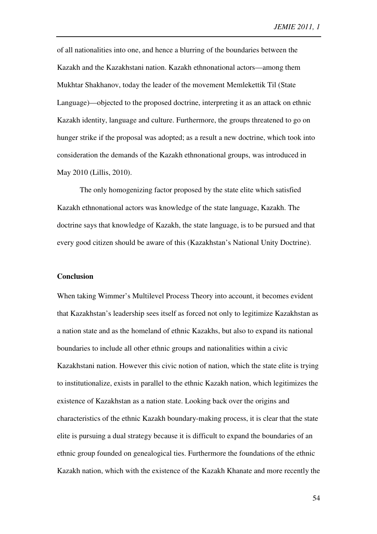of all nationalities into one, and hence a blurring of the boundaries between the Kazakh and the Kazakhstani nation. Kazakh ethnonational actors—among them Mukhtar Shakhanov, today the leader of the movement Memlekettik Til (State Language)—objected to the proposed doctrine, interpreting it as an attack on ethnic Kazakh identity, language and culture. Furthermore, the groups threatened to go on hunger strike if the proposal was adopted; as a result a new doctrine, which took into consideration the demands of the Kazakh ethnonational groups, was introduced in May 2010 (Lillis, 2010).

The only homogenizing factor proposed by the state elite which satisfied Kazakh ethnonational actors was knowledge of the state language, Kazakh. The doctrine says that knowledge of Kazakh, the state language, is to be pursued and that every good citizen should be aware of this (Kazakhstan's National Unity Doctrine).

## **Conclusion**

When taking Wimmer's Multilevel Process Theory into account, it becomes evident that Kazakhstan's leadership sees itself as forced not only to legitimize Kazakhstan as a nation state and as the homeland of ethnic Kazakhs, but also to expand its national boundaries to include all other ethnic groups and nationalities within a civic Kazakhstani nation. However this civic notion of nation, which the state elite is trying to institutionalize, exists in parallel to the ethnic Kazakh nation, which legitimizes the existence of Kazakhstan as a nation state. Looking back over the origins and characteristics of the ethnic Kazakh boundary-making process, it is clear that the state elite is pursuing a dual strategy because it is difficult to expand the boundaries of an ethnic group founded on genealogical ties. Furthermore the foundations of the ethnic Kazakh nation, which with the existence of the Kazakh Khanate and more recently the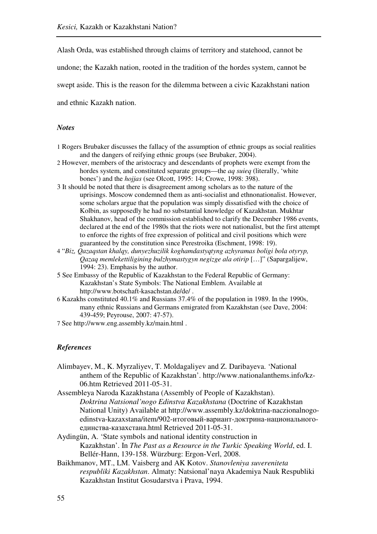Alash Orda, was established through claims of territory and statehood, cannot be

undone; the Kazakh nation, rooted in the tradition of the hordes system, cannot be

swept aside. This is the reason for the dilemma between a civic Kazakhstani nation

and ethnic Kazakh nation.

### *Notes*

- 1 Rogers Brubaker discusses the fallacy of the assumption of ethnic groups as social realities and the dangers of reifying ethnic groups (see Brubaker, 2004).
- 2 However, members of the aristocracy and descendants of prophets were exempt from the hordes system, and constituted separate groups—the *aq suieq* (literally, 'white bones') and the *hojjas* (see Olcott, 1995: 14; Crowe, 1998: 398).
- 3 It should be noted that there is disagreement among scholars as to the nature of the uprisings. Moscow condemned them as anti-socialist and ethnonationalist. However, some scholars argue that the population was simply dissatisfied with the choice of Kolbin, as supposedly he had no substantial knowledge of Kazakhstan. Mukhtar Shakhanov, head of the commission established to clarify the December 1986 events, declared at the end of the 1980s that the riots were not nationalist, but the first attempt to enforce the rights of free expression of political and civil positions which were guaranteed by the constitution since Perestroika (Eschment, 1998: 19).
- 4 "*Biz, Qazaqstan khalqy, dunyezhuzilik koghamdastyqtyng azhyramas boligi bola otyryp, Qazaq memlekettiligining bulzhymastygyn negizge ala otirip* […]" (Sapargalijew, 1994: 23). Emphasis by the author.
- 5 See Embassy of the Republic of Kazakhstan to the Federal Republic of Germany: Kazakhstan's State Symbols: The National Emblem. Available at http://www.botschaft-kasachstan.de/de/ .
- 6 Kazakhs constituted 40.1% and Russians 37.4% of the population in 1989. In the 1990s, many ethnic Russians and Germans emigrated from Kazakhstan (see Dave, 2004: 439-459; Peyrouse, 2007: 47-57).
- 7 See http://www.eng.assembly.kz/main.html .

#### *References*

- Alimbayev, M., K. Myrzaliyev, T. Moldagaliyev and Z. Daribayeva. 'National anthem of the Republic of Kazakhstan'. http://www.nationalanthems.info/kz-06.htm Retrieved 2011-05-31.
- Assembleya Naroda Kazakhstana (Assembly of People of Kazakhstan). *Doktrina Natsional'nogo Edinstva Kazakhstana* (Doctrine of Kazakhstan National Unity) Available at http://www.assembly.kz/doktrina-naczionalnogoedinstva-kazaxstana/item/902-итоговый-вариант-доктрина-национальногоединства-казахстана.html Retrieved 2011-05-31.
- Aydingün, A. 'State symbols and national identity construction in Kazakhstan'. In *The Past as a Resource in the Turkic Speaking World*, ed. I. Bellér-Hann, 139-158. Würzburg: Ergon-Verl, 2008.
- Baikhmanov, MT., LM. Vaisberg and AK Kotov. *Stanovleniya suvereniteta respubliki Kazakhstan*. Almaty: Natsional'naya Akademiya Nauk Respubliki Kazakhstan Institut Gosudarstva i Prava, 1994.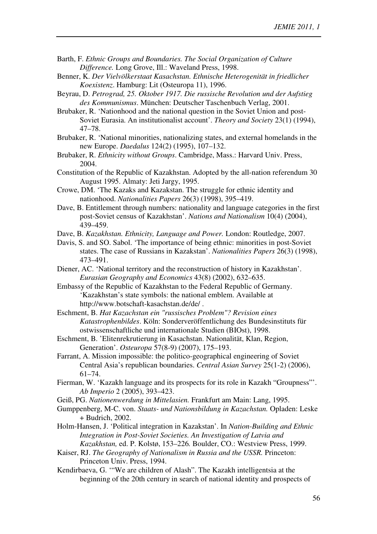- Barth, F. *Ethnic Groups and Boundaries. The Social Organization of Culture Difference.* Long Grove, Ill.: Waveland Press, 1998.
- Benner, K. *Der Vielvölkerstaat Kasachstan. Ethnische Heterogenität in friedlicher Koexistenz*. Hamburg: Lit (Osteuropa 11), 1996.
- Beyrau, D. *Petrograd, 25. Oktober 1917. Die russische Revolution und der Aufstieg des Kommunismus*. München: Deutscher Taschenbuch Verlag, 2001.
- Brubaker, R. 'Nationhood and the national question in the Soviet Union and post-Soviet Eurasia. An institutionalist account'. *Theory and Society* 23(1) (1994), 47–78.
- Brubaker, R. 'National minorities, nationalizing states, and external homelands in the new Europe. *Daedalus* 124(2) (1995), 107–132.
- Brubaker, R. *Ethnicity without Groups*. Cambridge, Mass.: Harvard Univ. Press, 2004.
- Constitution of the Republic of Kazakhstan. Adopted by the all-nation referendum 30 August 1995. Almaty: Jeti Jargy, 1995.
- Crowe, DM. 'The Kazaks and Kazakstan. The struggle for ethnic identity and nationhood. *Nationalities Papers* 26(3) (1998), 395–419.
- Dave, B. Entitlement through numbers: nationality and language categories in the first post-Soviet census of Kazakhstan'. *Nations and Nationalism* 10(4) (2004), 439–459.
- Dave, B. *Kazakhstan. Ethnicity, Language and Power.* London: Routledge, 2007.
- Davis, S. and SO. Sabol. 'The importance of being ethnic: minorities in post-Soviet states. The case of Russians in Kazakstan'. *Nationalities Papers* 26(3) (1998), 473–491.
- Diener, AC. 'National territory and the reconstruction of history in Kazakhstan'. *Eurasian Geography and Economics* 43(8) (2002), 632–635.
- Embassy of the Republic of Kazakhstan to the Federal Republic of Germany. 'Kazakhstan's state symbols: the national emblem. Available at http://www.botschaft-kasachstan.de/de/ .
- Eschment, B. *Hat Kazachstan ein "russisches Problem"? Revision eines Katastrophenbildes*. Köln: Sonderveröffentlichung des Bundesinstituts für ostwissenschaftliche und internationale Studien (BIOst), 1998.
- Eschment, B. 'Elitenrekrutierung in Kasachstan. Nationalität, Klan, Region, Generation'. *Osteuropa* 57(8-9) (2007), 175–193.
- Farrant, A. Mission impossible: the politico-geographical engineering of Soviet Central Asia's republican boundaries. *Central Asian Survey* 25(1-2) (2006), 61–74.
- Fierman, W. 'Kazakh language and its prospects for its role in Kazakh "Groupness"'. *Ab Imperio* 2 (2005), 393–423.
- Geiß, PG. *Nationenwerdung in Mittelasien.* Frankfurt am Main: Lang, 1995.
- Gumppenberg, M-C. von. *Staats- und Nationsbildung in Kazachstan.* Opladen: Leske + Budrich, 2002.
- Holm-Hansen, J. 'Political integration in Kazakstan'. In *Nation-Building and Ethnic Integration in Post-Soviet Societies. An Investigation of Latvia and Kazakhstan,* ed. P. Kolstø, 153–226*.* Boulder, CO.: Westview Press, 1999.
- Kaiser, RJ. *The Geography of Nationalism in Russia and the USSR.* Princeton: Princeton Univ. Press, 1994.
- Kendirbaeva, G. '"We are children of Alash". The Kazakh intelligentsia at the beginning of the 20th century in search of national identity and prospects of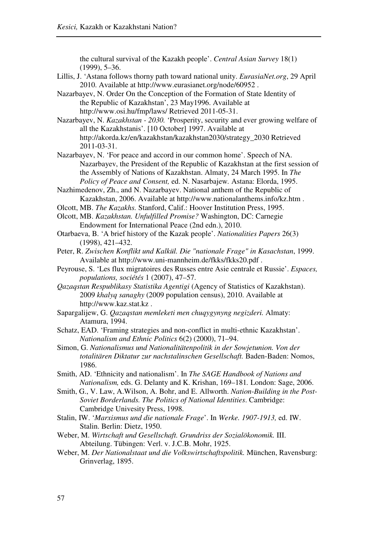the cultural survival of the Kazakh people'. *Central Asian Survey* 18(1) (1999), 5–36.

- Lillis, J. 'Astana follows thorny path toward national unity. *EurasiaNet.org*, 29 April 2010. Available at http://www.eurasianet.org/node/60952 .
- Nazarbayev, N. Order On the Conception of the Formation of State Identity of the Republic of Kazakhstan', 23 May1996. Available at http://www.osi.hu/fmp/laws/ Retrieved 2011-05-31.
- Nazarbayev, N. *Kazakhstan 2030.* 'Prosperity, security and ever growing welfare of all the Kazakhstanis'. [10 October] 1997. Available at http://akorda.kz/en/kazakhstan/kazakhstan2030/strategy\_2030 Retrieved 2011-03-31.
- Nazarbayev, N. 'For peace and accord in our common home'. Speech of NA. Nazarbayev, the President of the Republic of Kazakhstan at the first session of the Assembly of Nations of Kazakhstan. Almaty, 24 March 1995. In *The Policy of Peace and Consent,* ed. N. Nasarbajew*.* Astana: Elorda, 1995.
- Nazhimedenov, Zh., and N. Nazarbayev. National anthem of the Republic of Kazakhstan, 2006. Available at http://www.nationalanthems.info/kz.htm .
- Olcott, MB. *The Kazakhs.* Stanford, Calif.: Hoover Institution Press, 1995.
- Olcott, MB. *Kazakhstan. Unfulfilled Promise?* Washington, DC: Carnegie Endowment for International Peace (2nd edn.), 2010.
- Otarbaeva, B. 'A brief history of the Kazak people'. *Nationalities Papers* 26(3) (1998), 421–432.
- Peter, R. *Zwischen Konflikt und Kalkül. Die "nationale Frage" in Kasachstan*, 1999. Available at http://www.uni-mannheim.de/fkks/fkks20.pdf .
- Peyrouse, S. 'Les flux migratoires des Russes entre Asie centrale et Russie'. *Espaces, populations, sociétés* 1 (2007), 47–57.
- *Qazaqstan Respublikasy Statistika Agentigi* (Agency of Statistics of Kazakhstan). 2009 *khalyq sanaghy* (2009 population census), 2010. Available at http://www.kaz.stat.kz .
- Sapargalijew, G. *Qazaqstan memleketi men chuqygynyng negizderi.* Almaty: Atamura, 1994.
- Schatz, EAD. 'Framing strategies and non-conflict in multi-ethnic Kazakhstan'. *Nationalism and Ethnic Politics* 6(2) (2000), 71–94.
- Simon, G. *Nationalismus und Nationalitätenpolitik in der Sowjetunion. Von der totalitären Diktatur zur nachstalinschen Gesellschaft.* Baden-Baden: Nomos, 1986.
- Smith, AD. 'Ethnicity and nationalism'. In *The SAGE Handbook of Nations and Nationalism,* eds. G. Delanty and K. Krishan, 169–181*.* London: Sage, 2006.
- Smith, G., V. Law, A.Wilson, A. Bohr, and E. Allworth. *Nation-Building in the Post-Soviet Borderlands. The Politics of National Identities*. Cambridge: Cambridge Univesity Press, 1998.
- Stalin, IW. '*Marxismus und die nationale Frage*'. In *Werke. 1907-1913,* ed. IW. Stalin. Berlin: Dietz, 1950.
- Weber, M. *Wirtschaft und Gesellschaft. Grundriss der Sozialökonomik.* III. Abteilung. Tübingen: Verl. v. J.C.B. Mohr, 1925.
- Weber, M. *Der Nationalstaat und die Volkswirtschaftspolitik.* München, Ravensburg: Grinverlag, 1895.